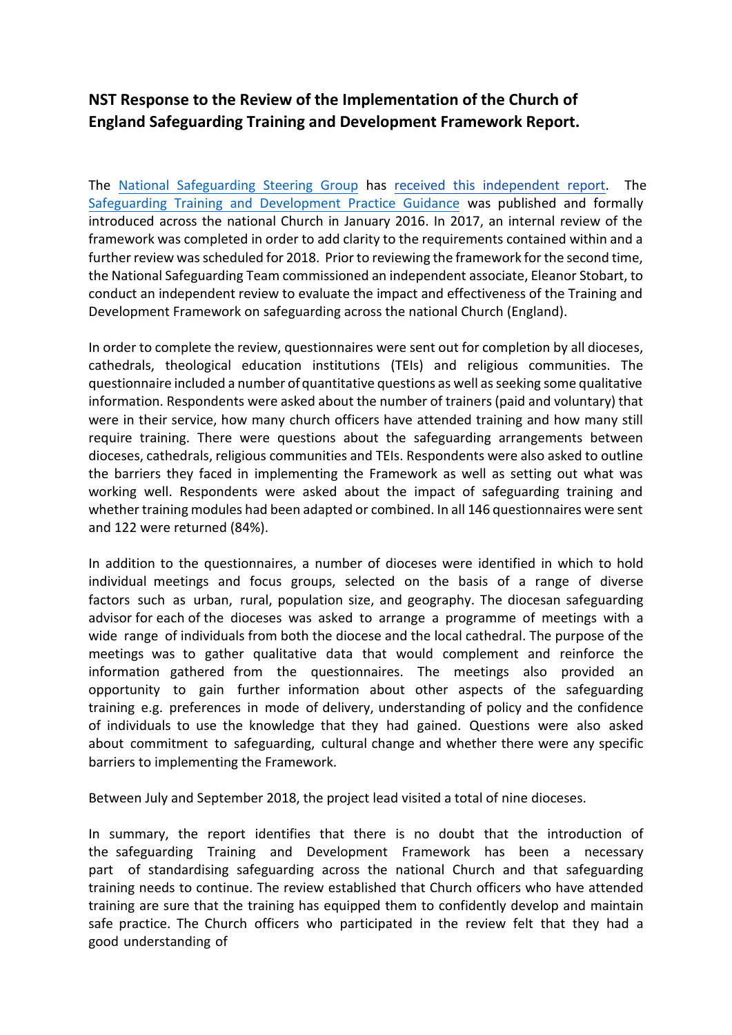## **NST Response to the Review of the Implementation of the Church of England Safeguarding Training and Development Framework Report.**

The [National Safeguarding Steering Group](https://www.churchofengland.org/sites/default/files/2017-11/NSSG%20Terms%20of%20Reference%20and%20Membership%20Nov%202017.pdf) has [received this independent report.](https://www.churchofengland.org/media/17302) The Safeguarding Training and [Development](https://www.churchofengland.org/sites/default/files/2017-11/Practice%20Guidance%20Safeguarding%20Training%20and%20Development.pdf) Practice Guidance was published and formally introduced across the national Church in January 2016. In 2017, an internal review of the framework was completed in order to add clarity to the requirements contained within and a further review was scheduled for 2018. Prior to reviewing the framework for the second time, the National Safeguarding Team commissioned an independent associate, Eleanor Stobart, to conduct an independent review to evaluate the impact and effectiveness of the Training and Development Framework on safeguarding across the national Church (England).

In order to complete the review, questionnaires were sent out for completion by all dioceses, cathedrals, theological education institutions (TEIs) and religious communities. The questionnaire included a number ofquantitative questions as well as seeking some qualitative information. Respondents were asked about the number of trainers (paid and voluntary) that were in their service, how many church officers have attended training and how many still require training. There were questions about the safeguarding arrangements between dioceses, cathedrals, religious communities and TEIs. Respondents were also asked to outline the barriers they faced in implementing the Framework as well as setting out what was working well. Respondents were asked about the impact of safeguarding training and whether training modules had been adapted or combined. In all 146 questionnaires were sent and 122 were returned (84%).

In addition to the questionnaires, a number of dioceses were identified in which to hold individual meetings and focus groups, selected on the basis of a range of diverse factors such as urban, rural, population size, and geography. The diocesan safeguarding advisor for each of the dioceses was asked to arrange a programme of meetings with a wide range of individuals from both the diocese and the local cathedral. The purpose of the meetings was to gather qualitative data that would complement and reinforce the information gathered from the questionnaires. The meetings also provided an opportunity to gain further information about other aspects of the safeguarding training e.g. preferences in mode of delivery, understanding of policy and the confidence of individuals to use the knowledge that they had gained. Questions were also asked about commitment to safeguarding, cultural change and whether there were any specific barriers to implementing the Framework.

Between July and September 2018, the project lead visited a total of nine dioceses.

In summary, the report identifies that there is no doubt that the introduction of the safeguarding Training and Development Framework has been a necessary part of standardising safeguarding across the national Church and that safeguarding training needs to continue. The review established that Church officers who have attended training are sure that the training has equipped them to confidently develop and maintain safe practice. The Church officers who participated in the review felt that they had a good understanding of